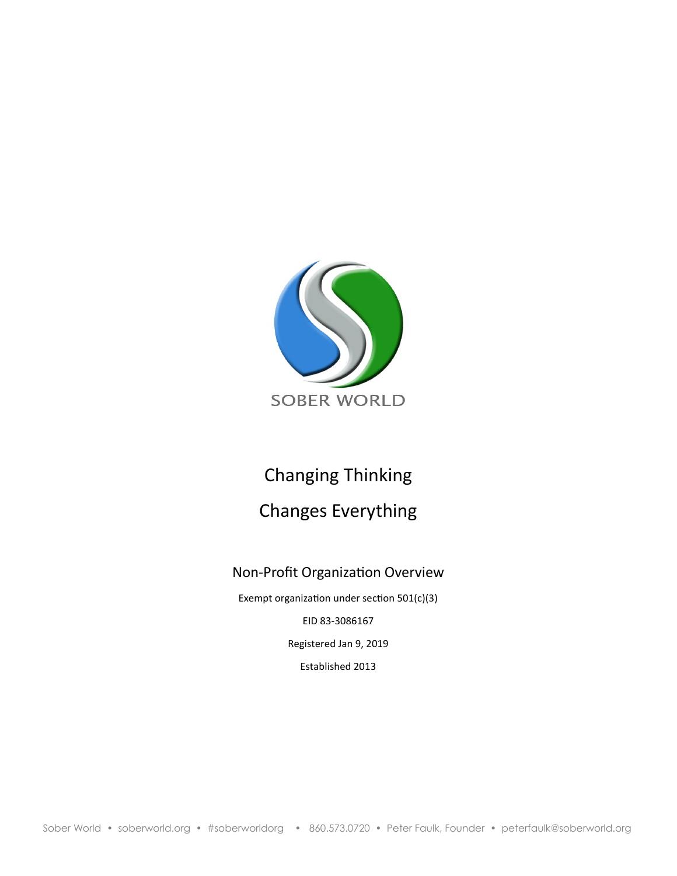

# Changing Thinking Changes Everything

# Non-Profit Organization Overview

Exempt organization under section 501(c)(3) EID 83-3086167 Registered Jan 9, 2019 Established 2013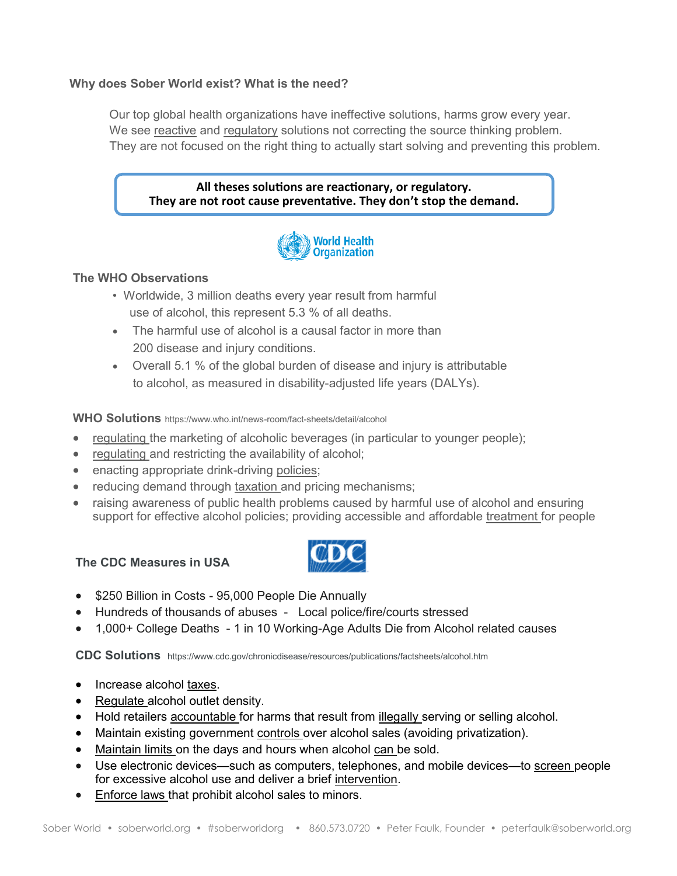## **Why does Sober World exist? What is the need?**

Our top global health organizations have ineffective solutions, harms grow every year. We see reactive and regulatory solutions not correcting the source thinking problem. They are not focused on the right thing to actually start solving and preventing this problem.

#### **All theses solutions are reactionary, or regulatory. They are not root cause preventative. They don't stop the demand.**



# **The WHO Observations**

- Worldwide, 3 million deaths every year result from harmful use of alcohol, this represent 5.3 % of all deaths.
- The harmful use of alcohol is a causal factor in more than 200 disease and injury conditions.
- Overall 5.1 % of the global burden of disease and injury is attributable to alcohol, as measured in disability-adjusted life years (DALYs).

**WHO Solutions** https://www.who.int/news-room/fact-sheets/detail/alcohol

- regulating the marketing of alcoholic beverages (in particular to younger people);
- regulating and restricting the availability of alcohol;
- enacting appropriate drink-driving policies;
- reducing demand through taxation and pricing mechanisms;
- raising awareness of public health problems caused by harmful use of alcohol and ensuring support for effective alcohol policies; providing accessible and affordable treatment for people

## **The CDC Measures in USA**



- \$250 Billion in Costs 95,000 People Die Annually
- Hundreds of thousands of abuses Local police/fire/courts stressed
- 1,000+ College Deaths 1 in 10 Working-Age Adults Die from Alcohol related causes

**CDC Solutions** https://www.cdc.gov/chronicdisease/resources/publications/factsheets/alcohol.htm

- Increase alcohol taxes.
- Regulate alcohol outlet density.
- Hold retailers accountable for harms that result from **illegally** serving or selling alcohol.
- Maintain existing government controls over alcohol sales (avoiding privatization).
- Maintain limits on the days and hours when alcohol can be sold.
- Use electronic devices—such as computers, telephones, and mobile devices—to screen people for excessive alcohol use and deliver a brief intervention.
- Enforce laws that prohibit alcohol sales to minors.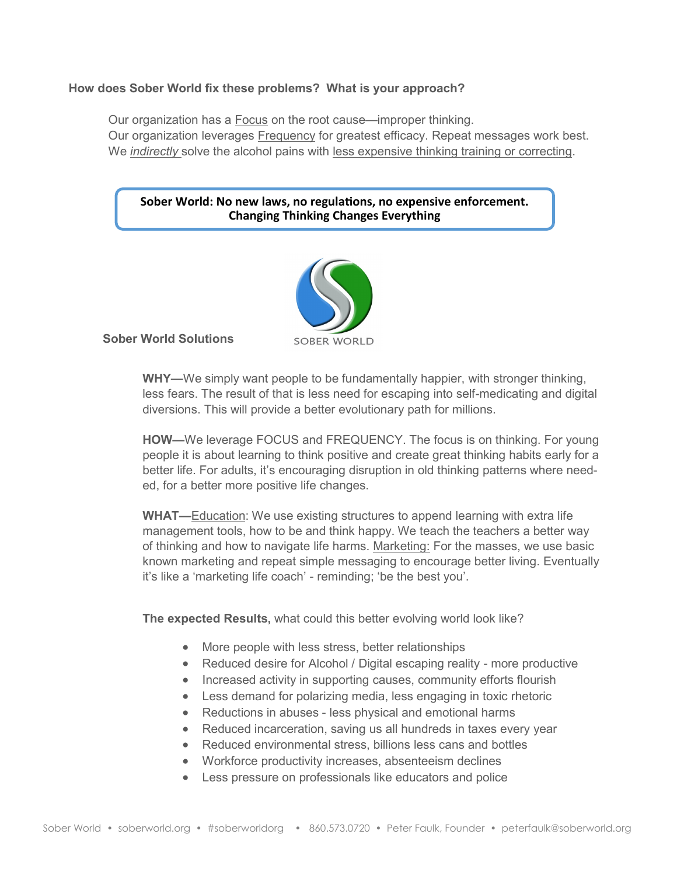#### **How does Sober World fix these problems? What is your approach?**

Our organization has a Focus on the root cause—improper thinking. Our organization leverages Frequency for greatest efficacy. Repeat messages work best. We *indirectly* solve the alcohol pains with less expensive thinking training or correcting.

#### **Sober World: No new laws, no regulations, no expensive enforcement. Changing Thinking Changes Everything**



**Sober World Solutions**

**WHY—**We simply want people to be fundamentally happier, with stronger thinking, less fears. The result of that is less need for escaping into self-medicating and digital diversions. This will provide a better evolutionary path for millions.

**HOW—**We leverage FOCUS and FREQUENCY. The focus is on thinking. For young people it is about learning to think positive and create great thinking habits early for a better life. For adults, it's encouraging disruption in old thinking patterns where needed, for a better more positive life changes.

**WHAT—**Education: We use existing structures to append learning with extra life management tools, how to be and think happy. We teach the teachers a better way of thinking and how to navigate life harms. Marketing: For the masses, we use basic known marketing and repeat simple messaging to encourage better living. Eventually it's like a 'marketing life coach' - reminding; 'be the best you'.

**The expected Results,** what could this better evolving world look like?

- More people with less stress, better relationships
- Reduced desire for Alcohol / Digital escaping reality more productive
- Increased activity in supporting causes, community efforts flourish
- Less demand for polarizing media, less engaging in toxic rhetoric
- Reductions in abuses less physical and emotional harms
- Reduced incarceration, saving us all hundreds in taxes every year
- Reduced environmental stress, billions less cans and bottles
- Workforce productivity increases, absenteeism declines
- Less pressure on professionals like educators and police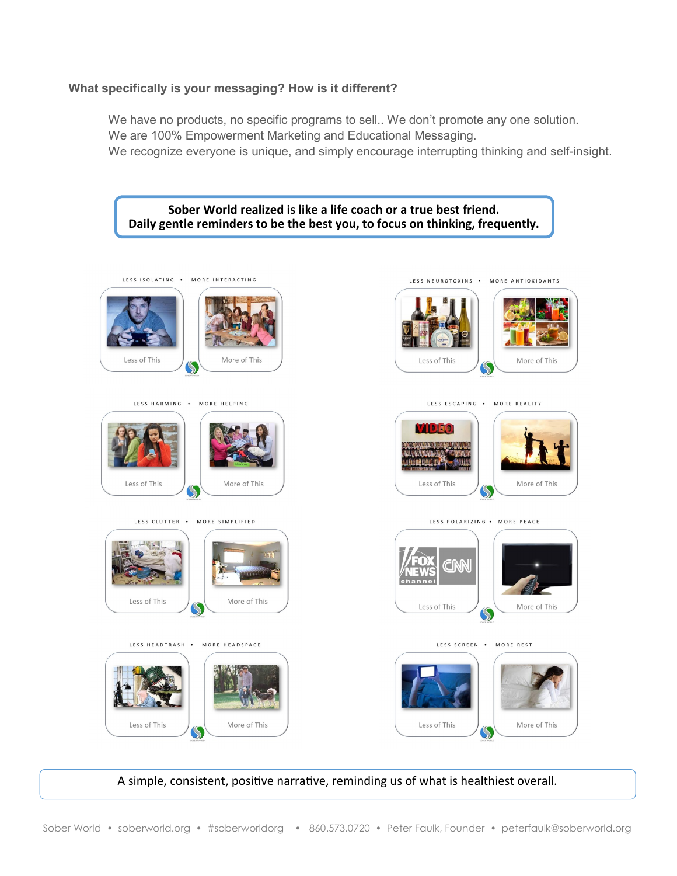#### **What specifically is your messaging? How is it different?**

We have no products, no specific programs to sell.. We don't promote any one solution. We are 100% Empowerment Marketing and Educational Messaging. We recognize everyone is unique, and simply encourage interrupting thinking and self-insight.



A simple, consistent, positive narrative, reminding us of what is healthiest overall.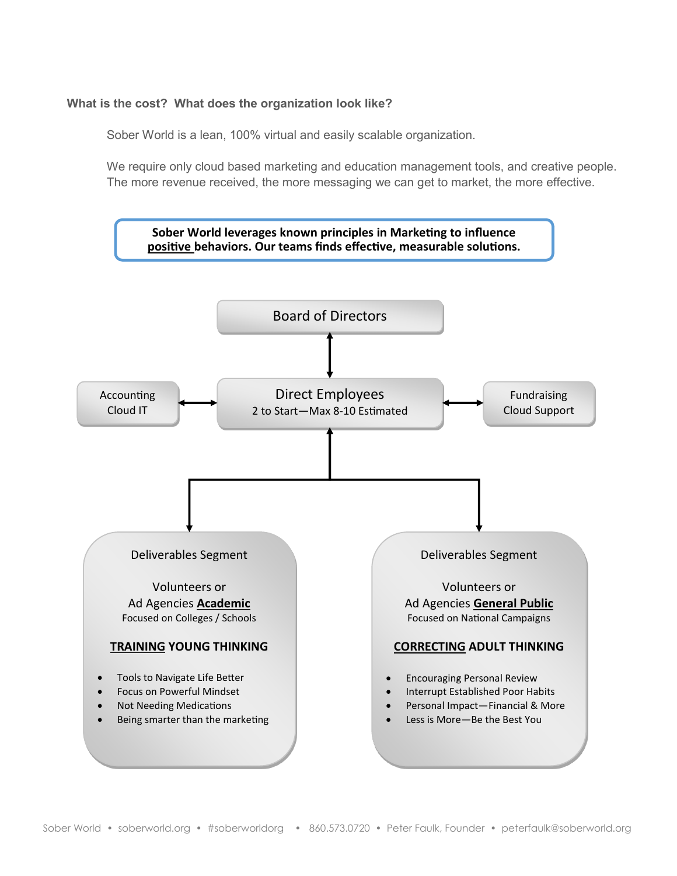#### **What is the cost? What does the organization look like?**

Sober World is a lean, 100% virtual and easily scalable organization.

We require only cloud based marketing and education management tools, and creative people. The more revenue received, the more messaging we can get to market, the more effective.